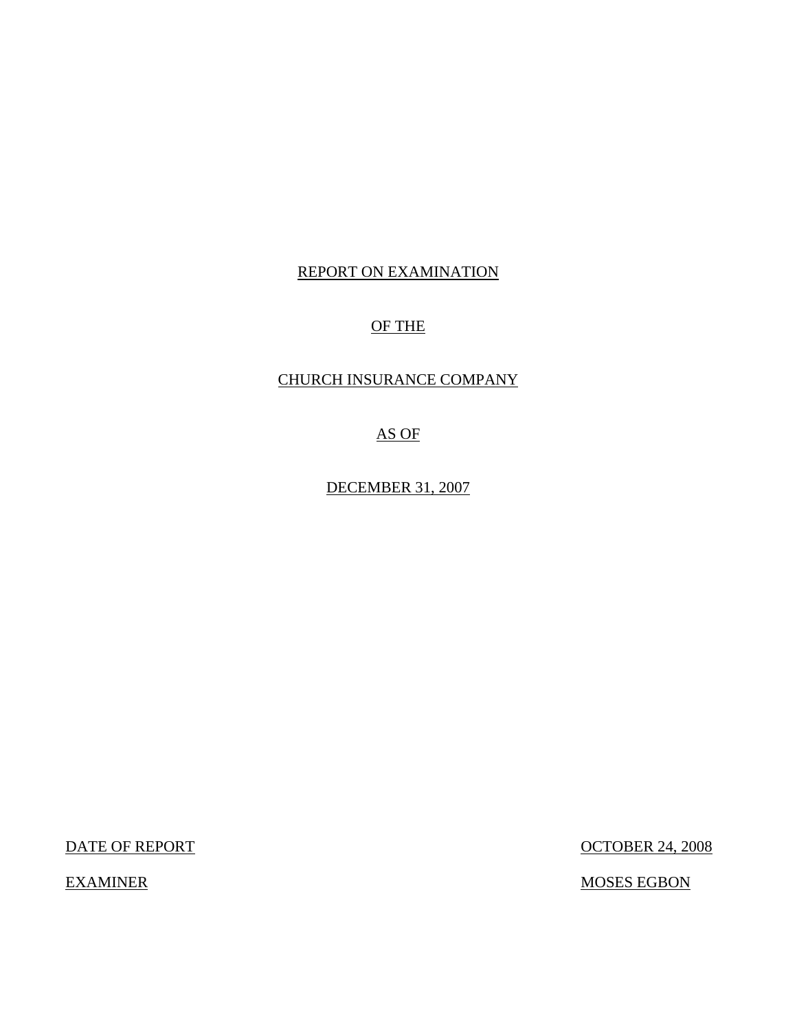# REPORT ON EXAMINATION

# OF THE

## CHURCH INSURANCE COMPANY

AS OF

DECEMBER 31, 2007

DATE OF REPORT OCTOBER 24, 2008

EXAMINER MOSES EGBON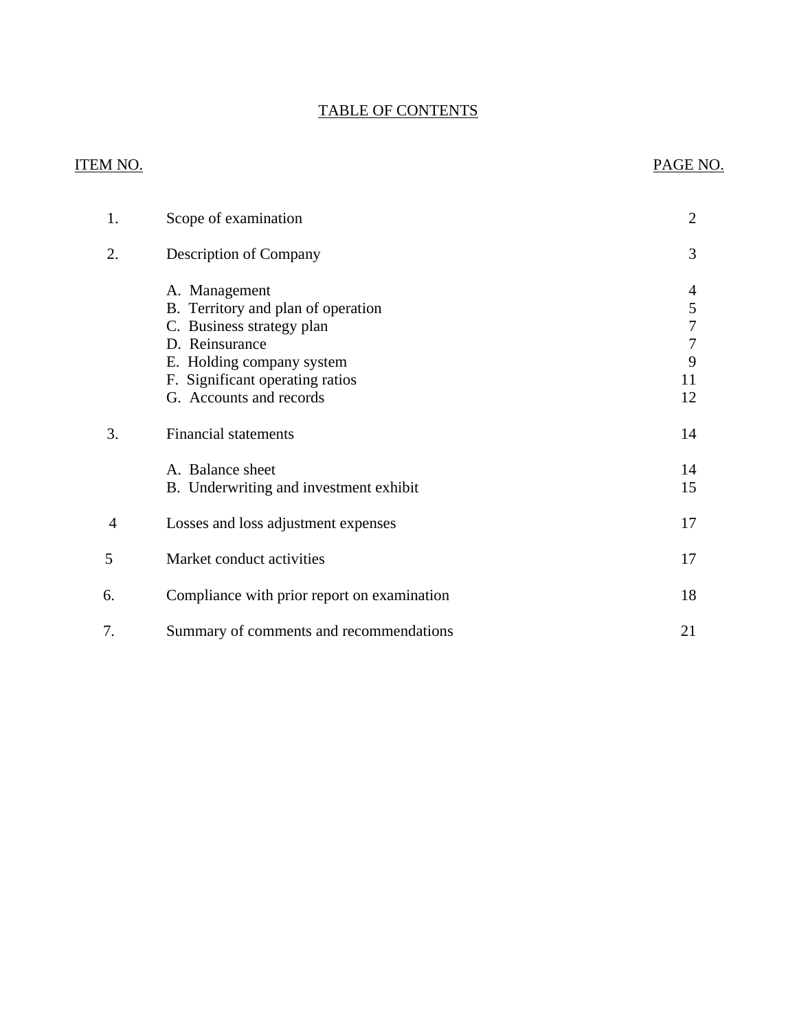# TABLE OF CONTENTS

# ITEM NO. PAGE NO.

| 1. | Scope of examination                                                                                                                                                                                                         | $\overline{2}$                          |
|----|------------------------------------------------------------------------------------------------------------------------------------------------------------------------------------------------------------------------------|-----------------------------------------|
| 2. | <b>Description of Company</b>                                                                                                                                                                                                | 3                                       |
| 3. | A. Management<br>B. Territory and plan of operation<br>C. Business strategy plan<br>D. Reinsurance<br>E. Holding company system<br>F. Significant operating ratios<br>G. Accounts and records<br><b>Financial statements</b> | 4<br>5<br>7<br>7<br>9<br>11<br>12<br>14 |
|    | A. Balance sheet<br>B. Underwriting and investment exhibit                                                                                                                                                                   | 14<br>15                                |
| 4  | Losses and loss adjustment expenses                                                                                                                                                                                          | 17                                      |
| 5  | Market conduct activities                                                                                                                                                                                                    | 17                                      |
| 6. | Compliance with prior report on examination                                                                                                                                                                                  | 18                                      |
| 7. | Summary of comments and recommendations                                                                                                                                                                                      | 21                                      |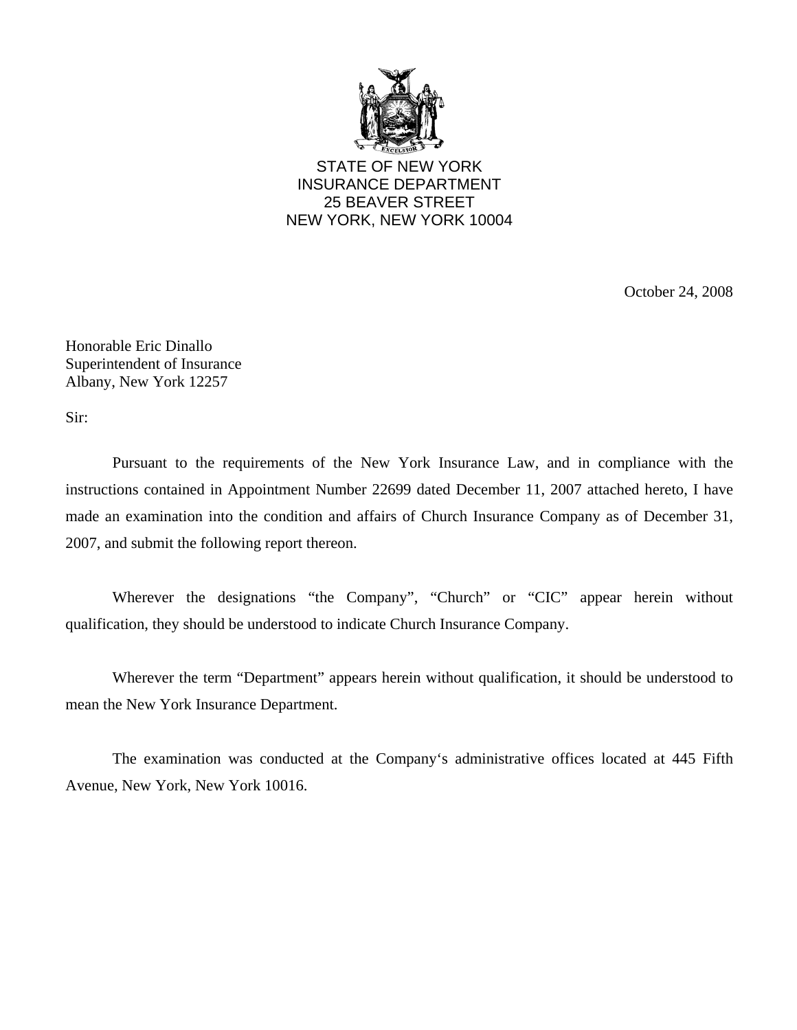

STATE OF NEW YORK INSURANCE DEPARTMENT 25 BEAVER STREET NEW YORK, NEW YORK 10004

October 24, 2008

Honorable Eric Dinallo Superintendent of Insurance Albany, New York 12257

Sir:

Pursuant to the requirements of the New York Insurance Law, and in compliance with the instructions contained in Appointment Number 22699 dated December 11, 2007 attached hereto, I have made an examination into the condition and affairs of Church Insurance Company as of December 31, 2007, and submit the following report thereon.

Wherever the designations "the Company", "Church" or "CIC" appear herein without qualification, they should be understood to indicate Church Insurance Company.

Wherever the term "Department" appears herein without qualification, it should be understood to mean the New York Insurance Department.

The examination was conducted at the Company's administrative offices located at 445 Fifth Avenue, New York, New York 10016.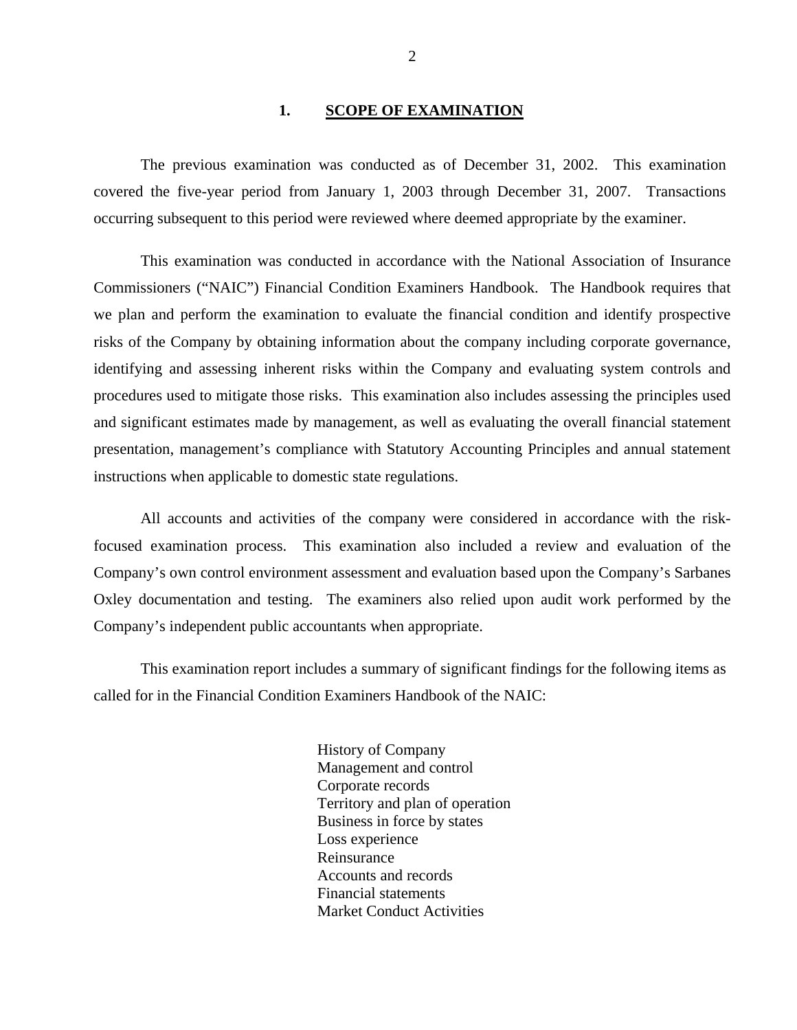#### 1. **SCOPE OF EXAMINATION**

<span id="page-3-0"></span>The previous examination was conducted as of December 31, 2002. This examination covered the five-year period from January 1, 2003 through December 31, 2007. Transactions occurring subsequent to this period were reviewed where deemed appropriate by the examiner.

This examination was conducted in accordance with the National Association of Insurance Commissioners ("NAIC") Financial Condition Examiners Handbook. The Handbook requires that we plan and perform the examination to evaluate the financial condition and identify prospective risks of the Company by obtaining information about the company including corporate governance, identifying and assessing inherent risks within the Company and evaluating system controls and procedures used to mitigate those risks. This examination also includes assessing the principles used and significant estimates made by management, as well as evaluating the overall financial statement presentation, management's compliance with Statutory Accounting Principles and annual statement instructions when applicable to domestic state regulations.

All accounts and activities of the company were considered in accordance with the riskfocused examination process. This examination also included a review and evaluation of the Company's own control environment assessment and evaluation based upon the Company's Sarbanes Oxley documentation and testing. The examiners also relied upon audit work performed by the Company's independent public accountants when appropriate.

This examination report includes a summary of significant findings for the following items as called for in the Financial Condition Examiners Handbook of the NAIC:

> History of Company Management and control Corporate records Territory and plan of operation Business in force by states Loss experience Reinsurance Accounts and records Financial statements Market Conduct Activities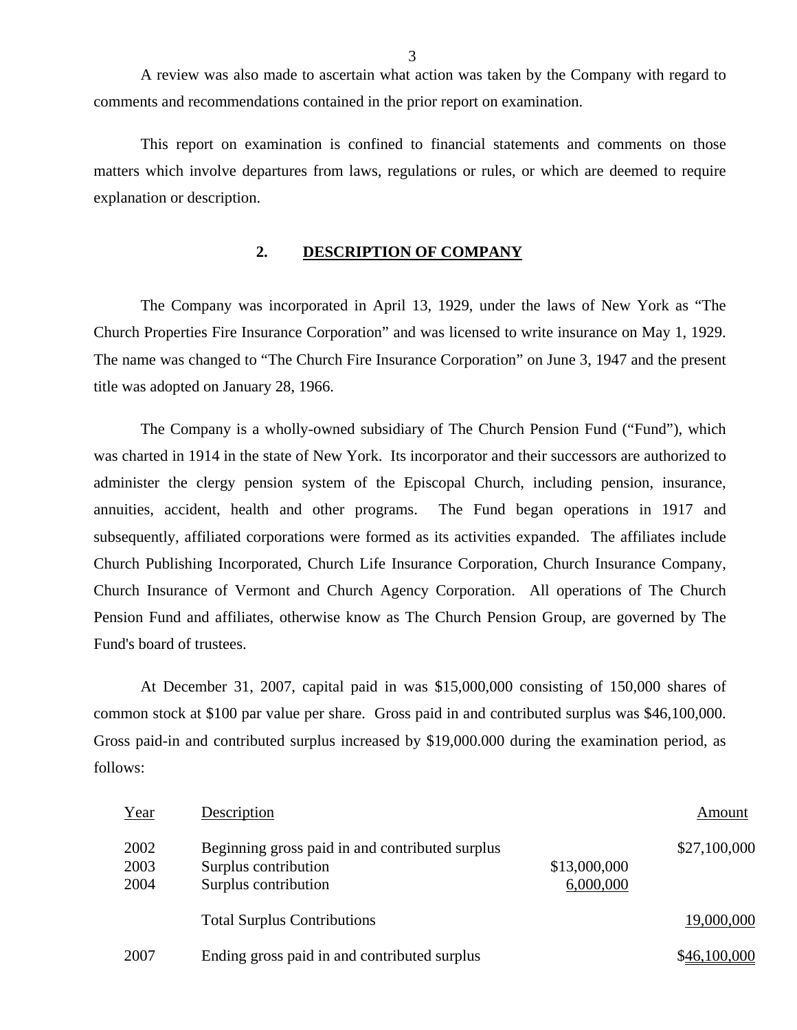A review was also made to ascertain what action was taken by the Company with regard to comments and recommendations contained in the prior report on examination.

This report on examination is confined to financial statements and comments on those matters which involve departures from laws, regulations or rules, or which are deemed to require explanation or description.

#### **2. DESCRIPTION OF COMPANY**

The Company was incorporated in April 13, 1929, under the laws of New York as "The Church Properties Fire Insurance Corporation" and was licensed to write insurance on May 1, 1929. The name was changed to "The Church Fire Insurance Corporation" on June 3, 1947 and the present title was adopted on January 28, 1966.

The Company is a wholly-owned subsidiary of The Church Pension Fund ("Fund"), which was charted in 1914 in the state of New York. Its incorporator and their successors are authorized to administer the clergy pension system of the Episcopal Church, including pension, insurance, annuities, accident, health and other programs. The Fund began operations in 1917 and subsequently, affiliated corporations were formed as its activities expanded. The affiliates include Church Publishing Incorporated, Church Life Insurance Corporation, Church Insurance Company, Church Insurance of Vermont and Church Agency Corporation. All operations of The Church Pension Fund and affiliates, otherwise know as The Church Pension Group, are governed by The Fund's board of trustees.

At December 31, 2007, capital paid in was \$15,000,000 consisting of 150,000 shares of common stock at \$100 par value per share. Gross paid in and contributed surplus was \$46,100,000. Gross paid-in and contributed surplus increased by \$19,000.000 during the examination period, as follows:

| Year                 | Description                                                                                     |                           | Amount       |
|----------------------|-------------------------------------------------------------------------------------------------|---------------------------|--------------|
| 2002<br>2003<br>2004 | Beginning gross paid in and contributed surplus<br>Surplus contribution<br>Surplus contribution | \$13,000,000<br>6,000,000 | \$27,100,000 |
|                      | <b>Total Surplus Contributions</b>                                                              |                           | 19,000,000   |
| 2007                 | Ending gross paid in and contributed surplus                                                    |                           | \$46,100,000 |

3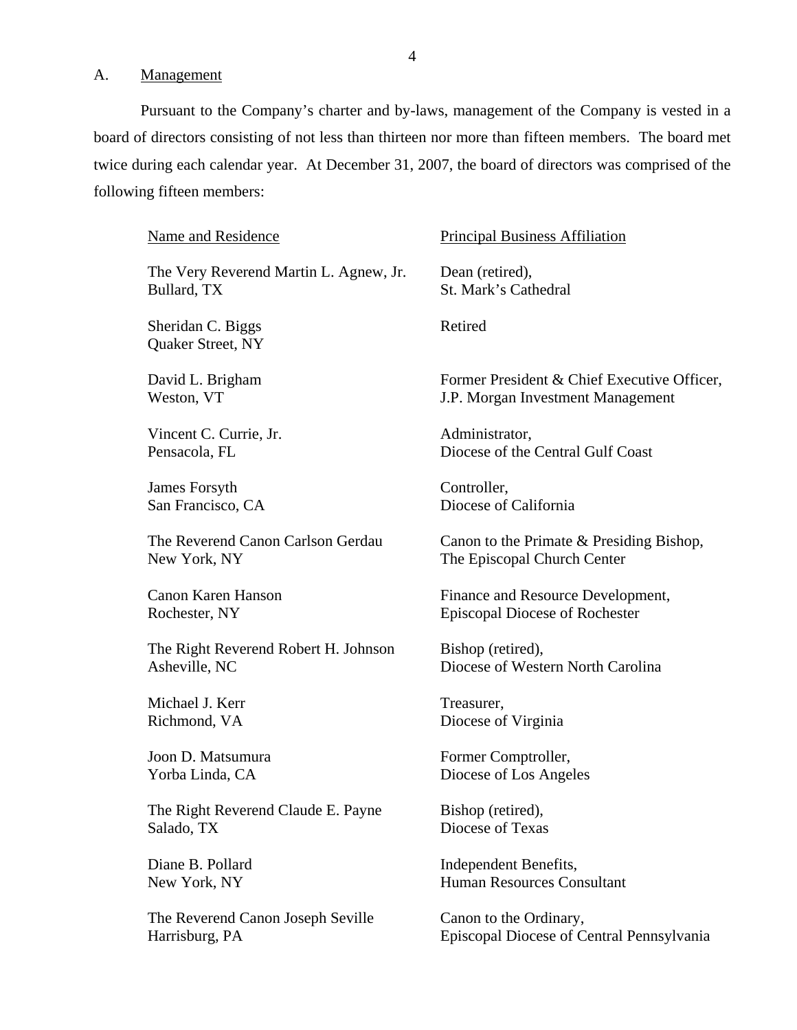<span id="page-5-0"></span>A. Management

Pursuant to the Company's charter and by-laws, management of the Company is vested in a board of directors consisting of not less than thirteen nor more than fifteen members. The board met twice during each calendar year. At December 31, 2007, the board of directors was comprised of the following fifteen members:

| <b>Name and Residence</b>              | <b>Principal Business Affiliation</b>       |
|----------------------------------------|---------------------------------------------|
| The Very Reverend Martin L. Agnew, Jr. | Dean (retired),                             |
| Bullard, TX                            | St. Mark's Cathedral                        |
| Sheridan C. Biggs<br>Quaker Street, NY | Retired                                     |
| David L. Brigham                       | Former President & Chief Executive Officer, |
| Weston, VT                             | J.P. Morgan Investment Management           |
| Vincent C. Currie, Jr.                 | Administrator,                              |
| Pensacola, FL                          | Diocese of the Central Gulf Coast           |
| James Forsyth                          | Controller,                                 |
| San Francisco, CA                      | Diocese of California                       |
| The Reverend Canon Carlson Gerdau      | Canon to the Primate & Presiding Bishop,    |
| New York, NY                           | The Episcopal Church Center                 |
| <b>Canon Karen Hanson</b>              | Finance and Resource Development,           |
| Rochester, NY                          | <b>Episcopal Diocese of Rochester</b>       |
| The Right Reverend Robert H. Johnson   | Bishop (retired),                           |
| Asheville, NC                          | Diocese of Western North Carolina           |
| Michael J. Kerr                        | Treasurer,                                  |
| Richmond, VA                           | Diocese of Virginia                         |
| Joon D. Matsumura                      | Former Comptroller,                         |
| Yorba Linda, CA                        | Diocese of Los Angeles                      |
| The Right Reverend Claude E. Payne     | Bishop (retired),                           |
| Salado, TX                             | Diocese of Texas                            |
| Diane B. Pollard                       | Independent Benefits,                       |
| New York, NY                           | Human Resources Consultant                  |
| The Reverend Canon Joseph Seville      | Canon to the Ordinary,                      |
| Harrisburg, PA                         | Episcopal Diocese of Central Pennsylvania   |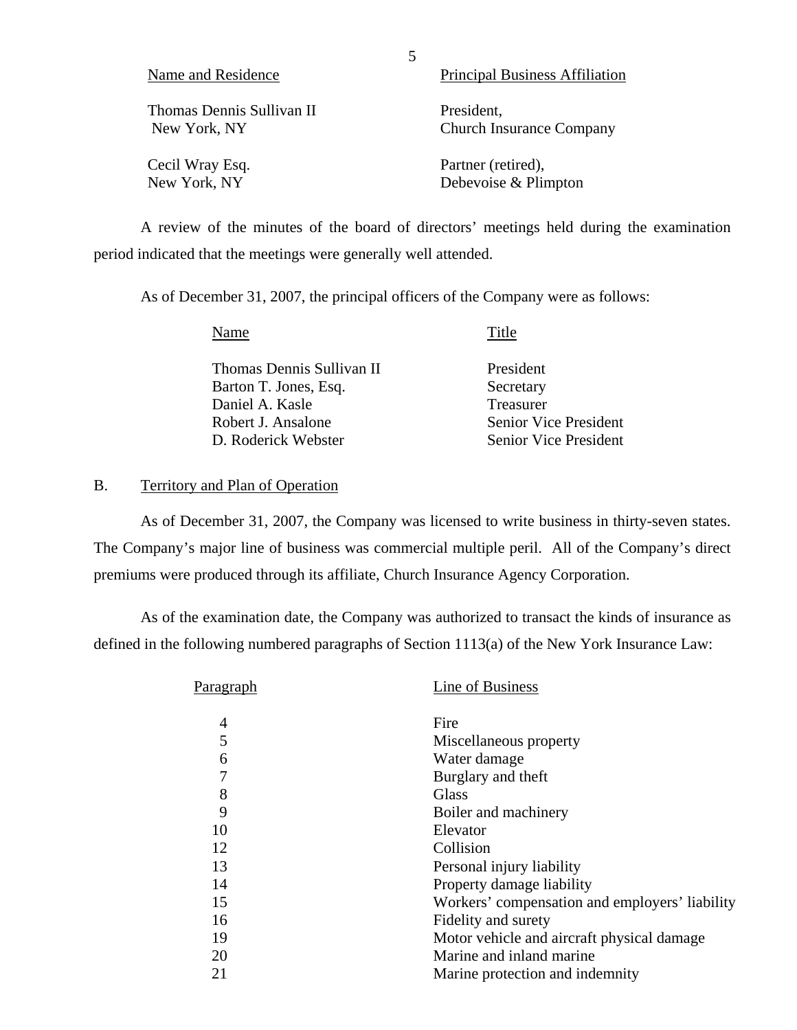| Name and Residence        | <b>Principal Business Affiliation</b> |
|---------------------------|---------------------------------------|
| Thomas Dennis Sullivan II | President,                            |
| New York, NY              | <b>Church Insurance Company</b>       |
| Cecil Wray Esq.           | Partner (retired),                    |
| New York, NY              | Debevoise & Plimpton                  |

A review of the minutes of the board of directors' meetings held during the examination period indicated that the meetings were generally well attended.

As of December 31, 2007, the principal officers of the Company were as follows:

| Name                      | Title                        |
|---------------------------|------------------------------|
| Thomas Dennis Sullivan II | President                    |
| Barton T. Jones, Esq.     | Secretary                    |
| Daniel A. Kasle           | Treasurer                    |
| Robert J. Ansalone        | <b>Senior Vice President</b> |
| D. Roderick Webster       | <b>Senior Vice President</b> |

#### B. Territory and Plan of Operation

As of December 31, 2007, the Company was licensed to write business in thirty-seven states. The Company's major line of business was commercial multiple peril. All of the Company's direct premiums were produced through its affiliate, Church Insurance Agency Corporation.

As of the examination date, the Company was authorized to transact the kinds of insurance as defined in the following numbered paragraphs of Section 1113(a) of the New York Insurance Law:

| Paragraph | Line of Business                               |
|-----------|------------------------------------------------|
| 4         | Fire                                           |
| 5         | Miscellaneous property                         |
| 6         | Water damage                                   |
| 7         | Burglary and theft                             |
| 8         | <b>Glass</b>                                   |
| 9         | Boiler and machinery                           |
| 10        | Elevator                                       |
| 12        | Collision                                      |
| 13        | Personal injury liability                      |
| 14        | Property damage liability                      |
| 15        | Workers' compensation and employers' liability |
| 16        | Fidelity and surety                            |
| 19        | Motor vehicle and aircraft physical damage     |
| 20        | Marine and inland marine                       |
| 21        | Marine protection and indemnity                |

5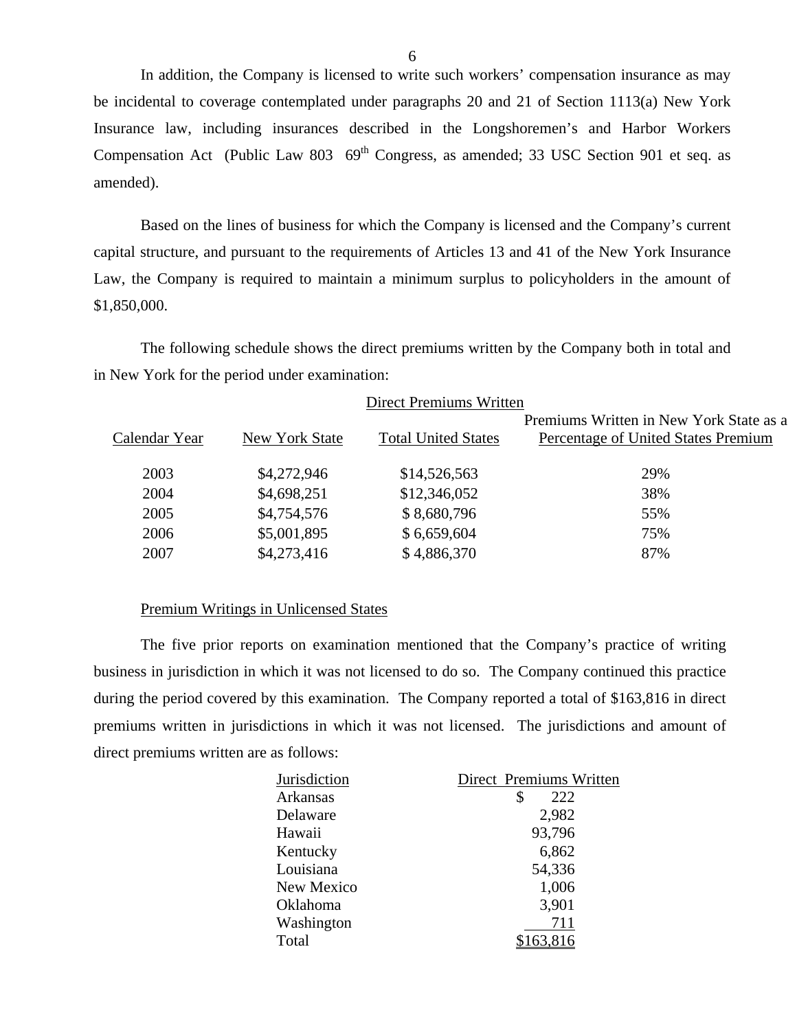In addition, the Company is licensed to write such workers' compensation insurance as may be incidental to coverage contemplated under paragraphs 20 and 21 of Section 1113(a) New York Insurance law, including insurances described in the Longshoremen's and Harbor Workers Compensation Act (Public Law 803 69<sup>th</sup> Congress, as amended; 33 USC Section 901 et seq. as amended).

Based on the lines of business for which the Company is licensed and the Company's current capital structure, and pursuant to the requirements of Articles 13 and 41 of the New York Insurance Law, the Company is required to maintain a minimum surplus to policyholders in the amount of \$1,850,000.

The following schedule shows the direct premiums written by the Company both in total and in New York for the period under examination:

| Direct Premiums Written |                |                            |                                                                                |  |  |
|-------------------------|----------------|----------------------------|--------------------------------------------------------------------------------|--|--|
| Calendar Year           | New York State | <b>Total United States</b> | Premiums Written in New York State as a<br>Percentage of United States Premium |  |  |
| 2003                    | \$4,272,946    | \$14,526,563               | 29%                                                                            |  |  |
| 2004                    | \$4,698,251    | \$12,346,052               | 38%                                                                            |  |  |
| 2005                    | \$4,754,576    | \$8,680,796                | 55%                                                                            |  |  |
| 2006                    | \$5,001,895    | \$6,659,604                | 75%                                                                            |  |  |
| 2007                    | \$4,273,416    | \$4,886,370                | 87%                                                                            |  |  |

#### Premium Writings in Unlicensed States

The five prior reports on examination mentioned that the Company's practice of writing business in jurisdiction in which it was not licensed to do so. The Company continued this practice during the period covered by this examination. The Company reported a total of \$163,816 in direct premiums written in jurisdictions in which it was not licensed. The jurisdictions and amount of direct premiums written are as follows:

| Jurisdiction | Direct Premiums Written |
|--------------|-------------------------|
| Arkansas     | \$<br>222               |
| Delaware     | 2,982                   |
| Hawaii       | 93,796                  |
| Kentucky     | 6,862                   |
| Louisiana    | 54,336                  |
| New Mexico   | 1,006                   |
| Oklahoma     | 3,901                   |
| Washington   | 711                     |
| Total        |                         |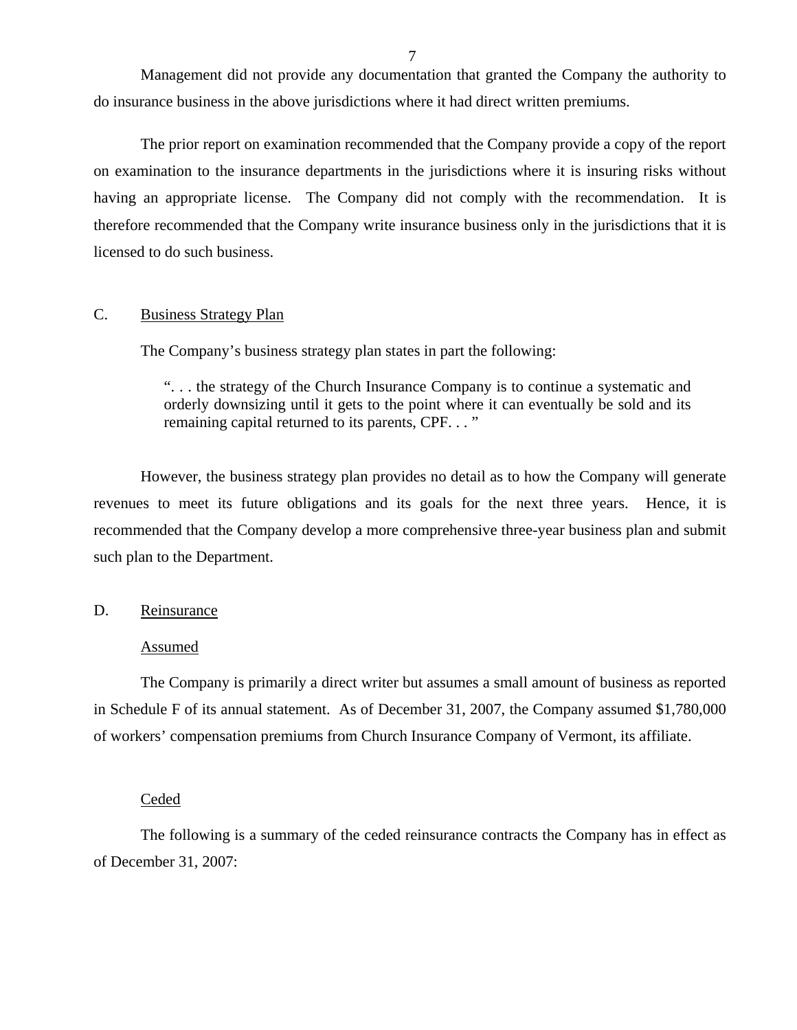<span id="page-8-0"></span>Management did not provide any documentation that granted the Company the authority to do insurance business in the above jurisdictions where it had direct written premiums.

The prior report on examination recommended that the Company provide a copy of the report on examination to the insurance departments in the jurisdictions where it is insuring risks without having an appropriate license. The Company did not comply with the recommendation. It is therefore recommended that the Company write insurance business only in the jurisdictions that it is licensed to do such business.

#### C. Business Strategy Plan

The Company's business strategy plan states in part the following:

". . . the strategy of the Church Insurance Company is to continue a systematic and orderly downsizing until it gets to the point where it can eventually be sold and its remaining capital returned to its parents, CPF. . . "

However, the business strategy plan provides no detail as to how the Company will generate revenues to meet its future obligations and its goals for the next three years. Hence, it is recommended that the Company develop a more comprehensive three-year business plan and submit such plan to the Department.

#### D. Reinsurance

#### Assumed

The Company is primarily a direct writer but assumes a small amount of business as reported in Schedule F of its annual statement. As of December 31, 2007, the Company assumed \$1,780,000 of workers' compensation premiums from Church Insurance Company of Vermont, its affiliate.

#### Ceded

The following is a summary of the ceded reinsurance contracts the Company has in effect as of December 31, 2007: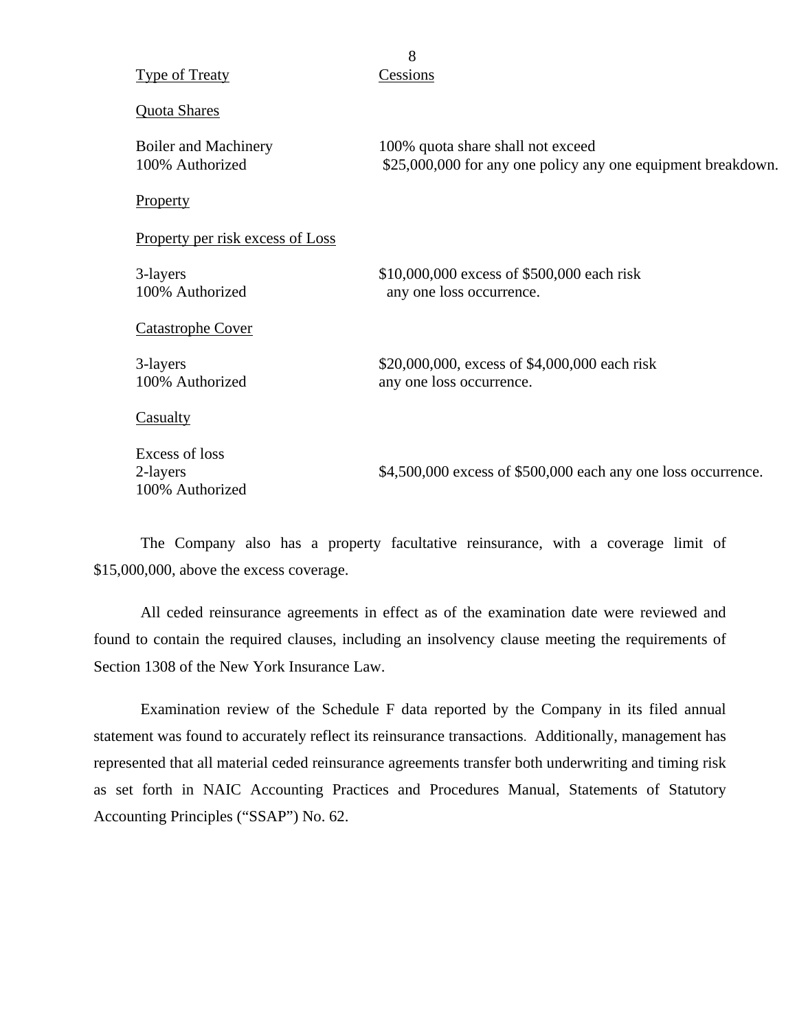|                                               | 8                                                                                                 |
|-----------------------------------------------|---------------------------------------------------------------------------------------------------|
| <b>Type of Treaty</b>                         | Cessions                                                                                          |
| Quota Shares                                  |                                                                                                   |
| Boiler and Machinery<br>100% Authorized       | 100% quota share shall not exceed<br>\$25,000,000 for any one policy any one equipment breakdown. |
| Property                                      |                                                                                                   |
| Property per risk excess of Loss              |                                                                                                   |
| 3-layers<br>100% Authorized                   | \$10,000,000 excess of \$500,000 each risk<br>any one loss occurrence.                            |
| <b>Catastrophe Cover</b>                      |                                                                                                   |
| 3-layers<br>100% Authorized                   | \$20,000,000, excess of \$4,000,000 each risk<br>any one loss occurrence.                         |
| Casualty                                      |                                                                                                   |
| Excess of loss<br>2-layers<br>100% Authorized | \$4,500,000 excess of \$500,000 each any one loss occurrence.                                     |

The Company also has a property facultative reinsurance, with a coverage limit of \$15,000,000, above the excess coverage.

All ceded reinsurance agreements in effect as of the examination date were reviewed and found to contain the required clauses, including an insolvency clause meeting the requirements of Section 1308 of the New York Insurance Law.

Examination review of the Schedule F data reported by the Company in its filed annual statement was found to accurately reflect its reinsurance transactions. Additionally, management has represented that all material ceded reinsurance agreements transfer both underwriting and timing risk as set forth in NAIC Accounting Practices and Procedures Manual, Statements of Statutory Accounting Principles ("SSAP") No. 62.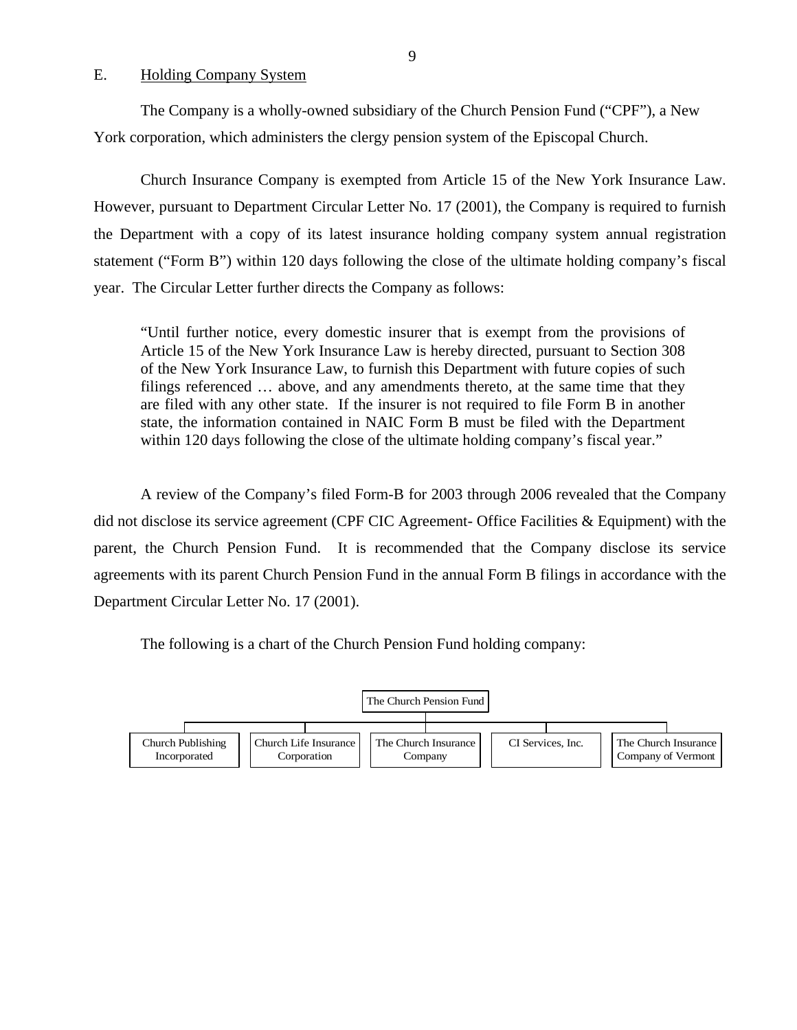<span id="page-10-0"></span>E. Holding Company System

The Company is a wholly-owned subsidiary of the Church Pension Fund ("CPF"), a New York corporation, which administers the clergy pension system of the Episcopal Church.

Church Insurance Company is exempted from Article 15 of the New York Insurance Law. However, pursuant to Department Circular Letter No. 17 (2001), the Company is required to furnish the Department with a copy of its latest insurance holding company system annual registration statement ("Form B") within 120 days following the close of the ultimate holding company's fiscal year. The Circular Letter further directs the Company as follows:

"Until further notice, every domestic insurer that is exempt from the provisions of Article 15 of the New York Insurance Law is hereby directed, pursuant to Section 308 of the New York Insurance Law, to furnish this Department with future copies of such filings referenced … above, and any amendments thereto, at the same time that they are filed with any other state. If the insurer is not required to file Form B in another state, the information contained in NAIC Form B must be filed with the Department within 120 days following the close of the ultimate holding company's fiscal year."

A review of the Company's filed Form-B for 2003 through 2006 revealed that the Company did not disclose its service agreement (CPF CIC Agreement- Office Facilities & Equipment) with the parent, the Church Pension Fund. It is recommended that the Company disclose its service agreements with its parent Church Pension Fund in the annual Form B filings in accordance with the Department Circular Letter No. 17 (2001).

The following is a chart of the Church Pension Fund holding company:

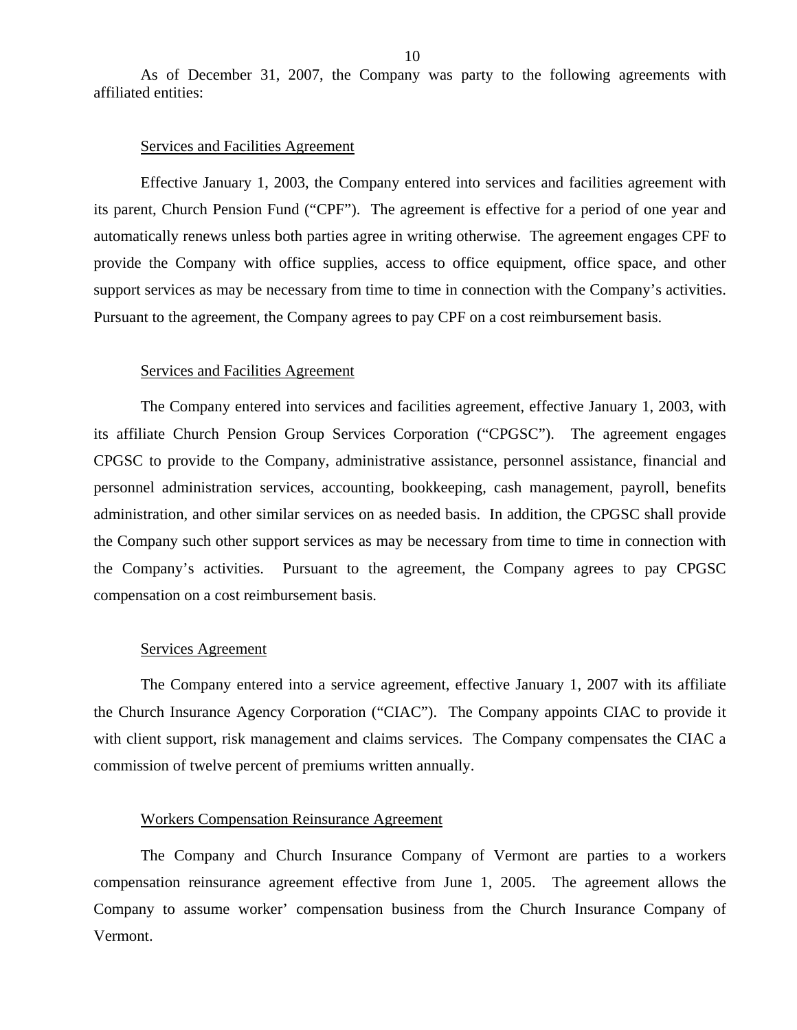As of December 31, 2007, the Company was party to the following agreements with affiliated entities:

#### Services and Facilities Agreement

Effective January 1, 2003, the Company entered into services and facilities agreement with its parent, Church Pension Fund ("CPF"). The agreement is effective for a period of one year and automatically renews unless both parties agree in writing otherwise. The agreement engages CPF to provide the Company with office supplies, access to office equipment, office space, and other support services as may be necessary from time to time in connection with the Company's activities. Pursuant to the agreement, the Company agrees to pay CPF on a cost reimbursement basis.

#### Services and Facilities Agreement

The Company entered into services and facilities agreement, effective January 1, 2003, with its affiliate Church Pension Group Services Corporation ("CPGSC"). The agreement engages CPGSC to provide to the Company, administrative assistance, personnel assistance, financial and personnel administration services, accounting, bookkeeping, cash management, payroll, benefits administration, and other similar services on as needed basis. In addition, the CPGSC shall provide the Company such other support services as may be necessary from time to time in connection with the Company's activities. Pursuant to the agreement, the Company agrees to pay CPGSC compensation on a cost reimbursement basis.

#### Services Agreement

The Company entered into a service agreement, effective January 1, 2007 with its affiliate the Church Insurance Agency Corporation ("CIAC"). The Company appoints CIAC to provide it with client support, risk management and claims services. The Company compensates the CIAC a commission of twelve percent of premiums written annually.

#### Workers Compensation Reinsurance Agreement

The Company and Church Insurance Company of Vermont are parties to a workers compensation reinsurance agreement effective from June 1, 2005. The agreement allows the Company to assume worker' compensation business from the Church Insurance Company of Vermont.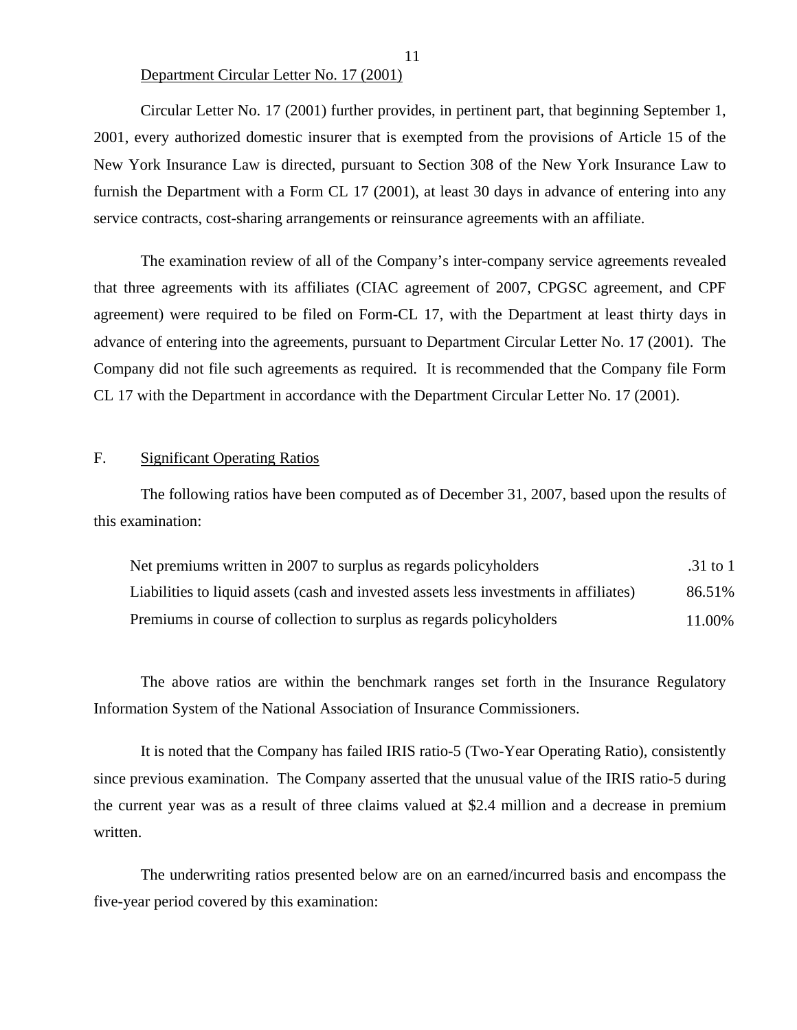#### Department Circular Letter No. 17 (2001)

Circular Letter No. 17 (2001) further provides, in pertinent part, that beginning September 1, 2001, every authorized domestic insurer that is exempted from the provisions of Article 15 of the New York Insurance Law is directed, pursuant to Section 308 of the New York Insurance Law to furnish the Department with a Form CL 17 (2001), at least 30 days in advance of entering into any service contracts, cost-sharing arrangements or reinsurance agreements with an affiliate.

The examination review of all of the Company's inter-company service agreements revealed that three agreements with its affiliates (CIAC agreement of 2007, CPGSC agreement, and CPF agreement) were required to be filed on Form-CL 17, with the Department at least thirty days in advance of entering into the agreements, pursuant to Department Circular Letter No. 17 (2001). The Company did not file such agreements as required. It is recommended that the Company file Form CL 17 with the Department in accordance with the Department Circular Letter No. 17 (2001).

#### F. Significant Operating Ratios

The following ratios have been computed as of December 31, 2007, based upon the results of this examination:

| Net premiums written in 2007 to surplus as regards policyholders                       | .31 to 1 |
|----------------------------------------------------------------------------------------|----------|
| Liabilities to liquid assets (cash and invested assets less investments in affiliates) | 86.51%   |
| Premiums in course of collection to surplus as regards policyholders                   | 11.00%   |

The above ratios are within the benchmark ranges set forth in the Insurance Regulatory Information System of the National Association of Insurance Commissioners.

It is noted that the Company has failed IRIS ratio-5 (Two-Year Operating Ratio), consistently since previous examination. The Company asserted that the unusual value of the IRIS ratio-5 during the current year was as a result of three claims valued at \$2.4 million and a decrease in premium written.

The underwriting ratios presented below are on an earned/incurred basis and encompass the five-year period covered by this examination: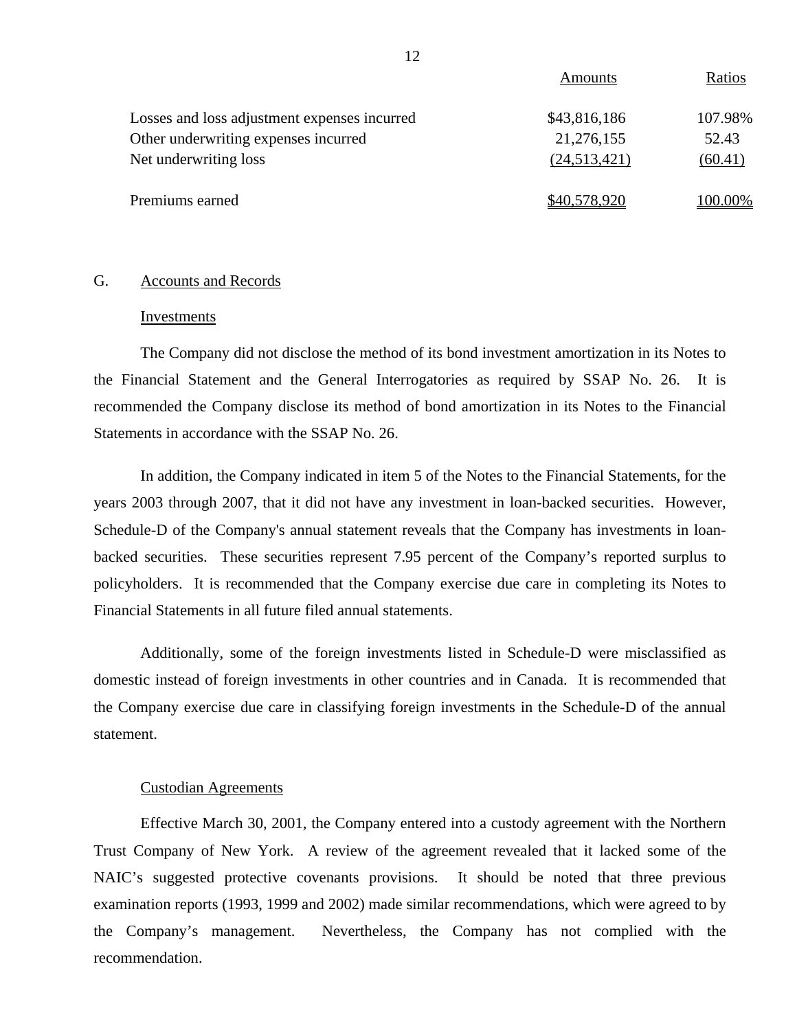|                                              | Amounts      | Ratios  |
|----------------------------------------------|--------------|---------|
| Losses and loss adjustment expenses incurred | \$43,816,186 | 107.98% |
| Other underwriting expenses incurred         | 21,276,155   | 52.43   |
| Net underwriting loss                        | (24,513,421) | (60.41) |
| Premiums earned                              | \$40,578,920 | 100.00% |

### G. Accounts and Records

#### Investments

The Company did not disclose the method of its bond investment amortization in its Notes to the Financial Statement and the General Interrogatories as required by SSAP No. 26. It is recommended the Company disclose its method of bond amortization in its Notes to the Financial Statements in accordance with the SSAP No. 26.

In addition, the Company indicated in item 5 of the Notes to the Financial Statements, for the years 2003 through 2007, that it did not have any investment in loan-backed securities. However, Schedule-D of the Company's annual statement reveals that the Company has investments in loanbacked securities. These securities represent 7.95 percent of the Company's reported surplus to policyholders. It is recommended that the Company exercise due care in completing its Notes to Financial Statements in all future filed annual statements.

Additionally, some of the foreign investments listed in Schedule-D were misclassified as domestic instead of foreign investments in other countries and in Canada. It is recommended that the Company exercise due care in classifying foreign investments in the Schedule-D of the annual statement.

#### Custodian Agreements

Effective March 30, 2001, the Company entered into a custody agreement with the Northern Trust Company of New York. A review of the agreement revealed that it lacked some of the NAIC's suggested protective covenants provisions. It should be noted that three previous examination reports (1993, 1999 and 2002) made similar recommendations, which were agreed to by the Company's management. Nevertheless, the Company has not complied with the recommendation.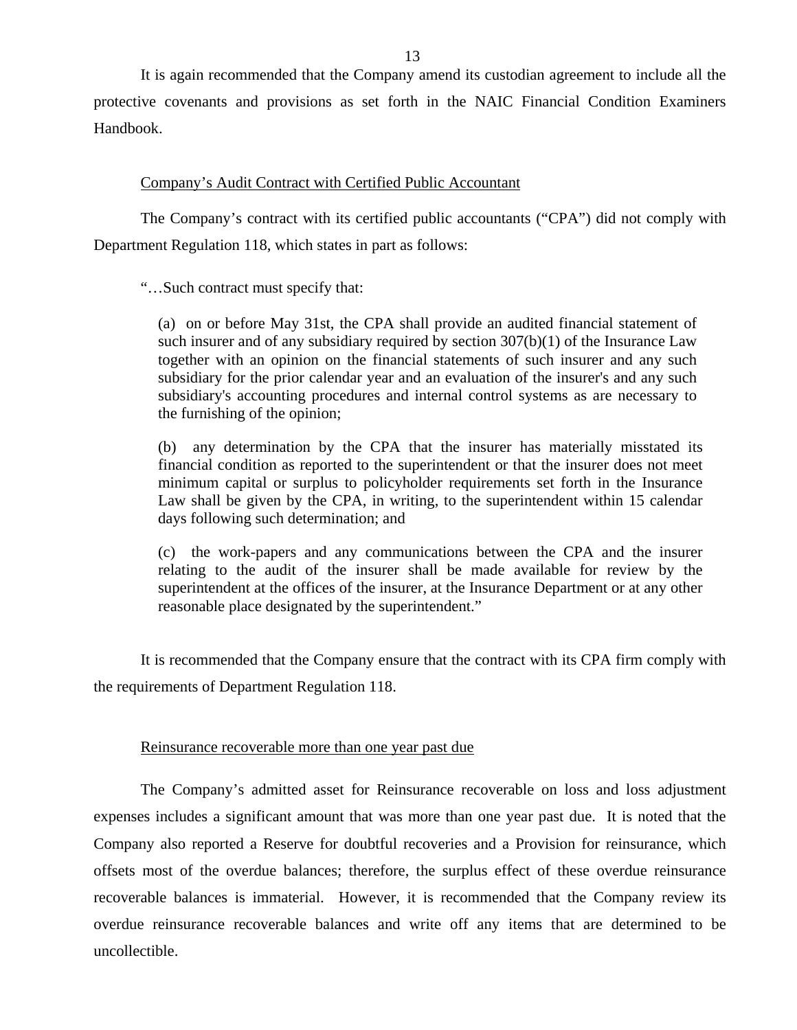It is again recommended that the Company amend its custodian agreement to include all the protective covenants and provisions as set forth in the NAIC Financial Condition Examiners Handbook.

#### Company's Audit Contract with Certified Public Accountant

The Company's contract with its certified public accountants ("CPA") did not comply with Department Regulation 118, which states in part as follows:

"…Such contract must specify that:

(a) on or before May 31st, the CPA shall provide an audited financial statement of such insurer and of any subsidiary required by section 307(b)(1) of the Insurance Law together with an opinion on the financial statements of such insurer and any such subsidiary for the prior calendar year and an evaluation of the insurer's and any such subsidiary's accounting procedures and internal control systems as are necessary to the furnishing of the opinion;

(b) any determination by the CPA that the insurer has materially misstated its financial condition as reported to the superintendent or that the insurer does not meet minimum capital or surplus to policyholder requirements set forth in the Insurance Law shall be given by the CPA, in writing, to the superintendent within 15 calendar days following such determination; and

(c) the work-papers and any communications between the CPA and the insurer relating to the audit of the insurer shall be made available for review by the superintendent at the offices of the insurer, at the Insurance Department or at any other reasonable place designated by the superintendent."

It is recommended that the Company ensure that the contract with its CPA firm comply with the requirements of Department Regulation 118.

#### Reinsurance recoverable more than one year past due

The Company's admitted asset for Reinsurance recoverable on loss and loss adjustment expenses includes a significant amount that was more than one year past due. It is noted that the Company also reported a Reserve for doubtful recoveries and a Provision for reinsurance, which offsets most of the overdue balances; therefore, the surplus effect of these overdue reinsurance recoverable balances is immaterial. However, it is recommended that the Company review its overdue reinsurance recoverable balances and write off any items that are determined to be uncollectible.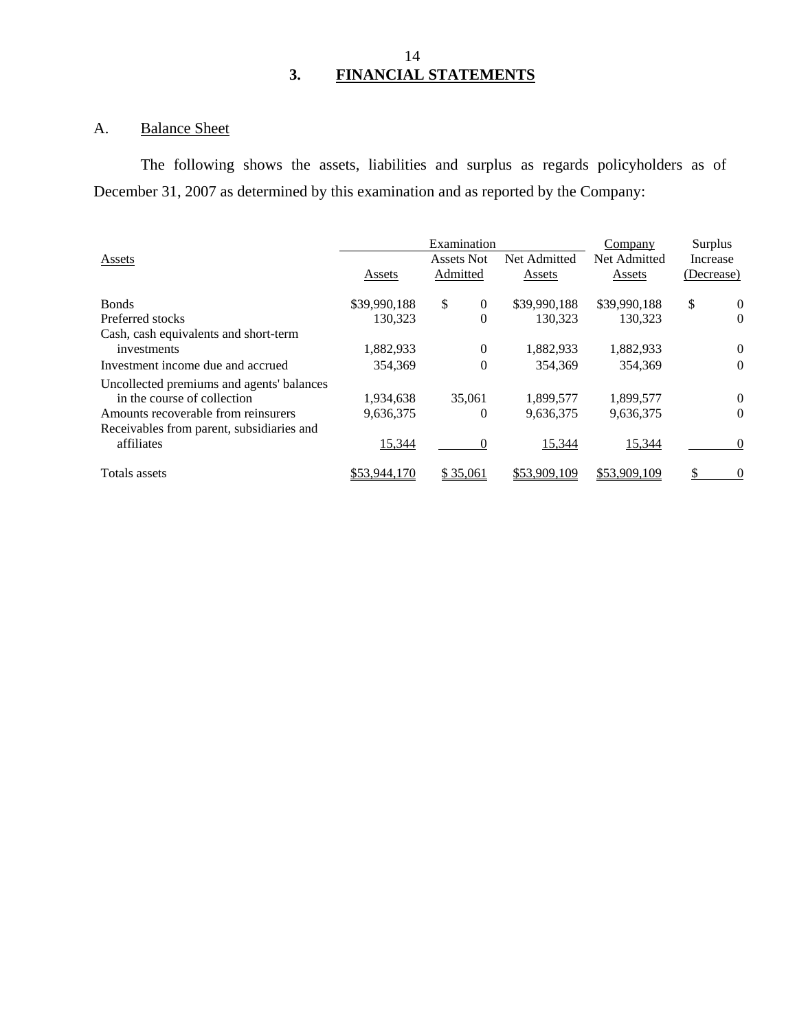# 14 **3. FINANCIAL STATEMENTS**

# A. Balance Sheet

The following shows the assets, liabilities and surplus as regards policyholders as of December 31, 2007 as determined by this examination and as reported by the Company:

|                                           | Examination  |                      |              | Company      | Surplus              |
|-------------------------------------------|--------------|----------------------|--------------|--------------|----------------------|
| Assets                                    |              | Assets Not           | Net Admitted | Net Admitted | Increase             |
|                                           | Assets       | Admitted             | Assets       | Assets       | (Decrease)           |
| <b>Bonds</b>                              | \$39,990,188 | \$<br>$\overline{0}$ | \$39,990,188 | \$39,990,188 | \$<br>$\overline{0}$ |
| Preferred stocks                          | 130.323      | $\theta$             | 130.323      | 130.323      | $\theta$             |
| Cash, cash equivalents and short-term     |              |                      |              |              |                      |
| investments                               | 1,882,933    | $\Omega$             | 1,882,933    | 1,882,933    | $\theta$             |
| Investment income due and accrued         | 354.369      | $\theta$             | 354,369      | 354.369      | $\theta$             |
| Uncollected premiums and agents' balances |              |                      |              |              |                      |
| in the course of collection               | 1,934,638    | 35,061               | 1,899,577    | 1,899,577    | $\mathbf{0}$         |
| Amounts recoverable from reinsurers       | 9,636,375    | 0                    | 9,636,375    | 9,636,375    | $\Omega$             |
| Receivables from parent, subsidiaries and |              |                      |              |              |                      |
| affiliates                                | 15,344       | $\Omega$             | 15,344       | 15,344       | $\Omega$             |
| Totals assets                             | \$53,944,170 | \$35,061             | \$53,909,109 | \$53,909,109 | 0                    |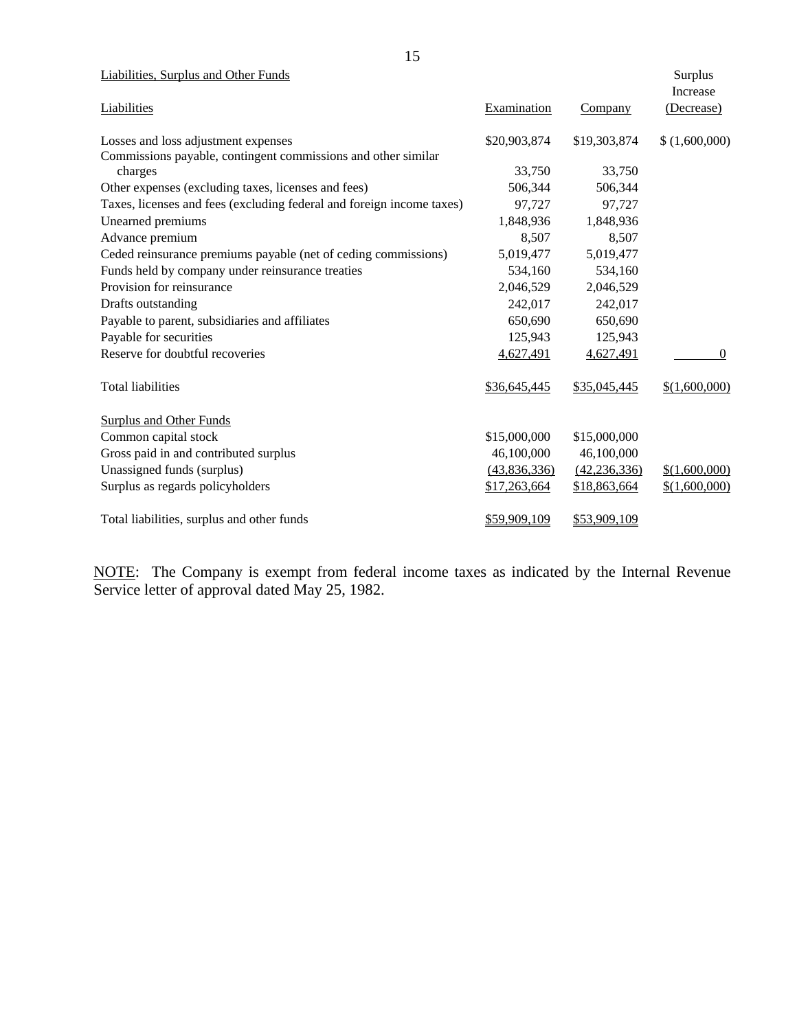Liabilities, Surplus and Other Funds Surplus

| Liabilities, Surprus and Other Funds                                  |              |                | <b>Surprus</b><br>Increase |
|-----------------------------------------------------------------------|--------------|----------------|----------------------------|
| Liabilities                                                           | Examination  | Company        | (Decrease)                 |
| Losses and loss adjustment expenses                                   | \$20,903,874 | \$19,303,874   | (1,600,000)                |
| Commissions payable, contingent commissions and other similar         |              |                |                            |
| charges                                                               | 33,750       | 33,750         |                            |
| Other expenses (excluding taxes, licenses and fees)                   | 506,344      | 506,344        |                            |
| Taxes, licenses and fees (excluding federal and foreign income taxes) | 97,727       | 97,727         |                            |
| Unearned premiums                                                     | 1,848,936    | 1,848,936      |                            |
| Advance premium                                                       | 8,507        | 8,507          |                            |
| Ceded reinsurance premiums payable (net of ceding commissions)        | 5,019,477    | 5,019,477      |                            |
| Funds held by company under reinsurance treaties                      | 534,160      | 534,160        |                            |
| Provision for reinsurance                                             | 2,046,529    | 2,046,529      |                            |
| Drafts outstanding                                                    | 242,017      | 242,017        |                            |
| Payable to parent, subsidiaries and affiliates                        | 650,690      | 650,690        |                            |
| Payable for securities                                                | 125,943      | 125,943        |                            |
| Reserve for doubtful recoveries                                       | 4,627,491    | 4,627,491      | $\theta$                   |
| <b>Total liabilities</b>                                              | \$36,645,445 | \$35,045,445   | \$(1,600,000)              |
| <b>Surplus and Other Funds</b>                                        |              |                |                            |
| Common capital stock                                                  | \$15,000,000 | \$15,000,000   |                            |
| Gross paid in and contributed surplus                                 | 46,100,000   | 46,100,000     |                            |
| Unassigned funds (surplus)                                            | (43,836,336) | (42, 236, 336) | \$(1,600,000)              |
| Surplus as regards policyholders                                      | \$17,263,664 | \$18,863,664   | \$(1,600,000)              |
| Total liabilities, surplus and other funds                            | \$59,909,109 | \$53,909,109   |                            |
|                                                                       |              |                |                            |

NOTE: The Company is exempt from federal income taxes as indicated by the Internal Revenue Service letter of approval dated May 25, 1982.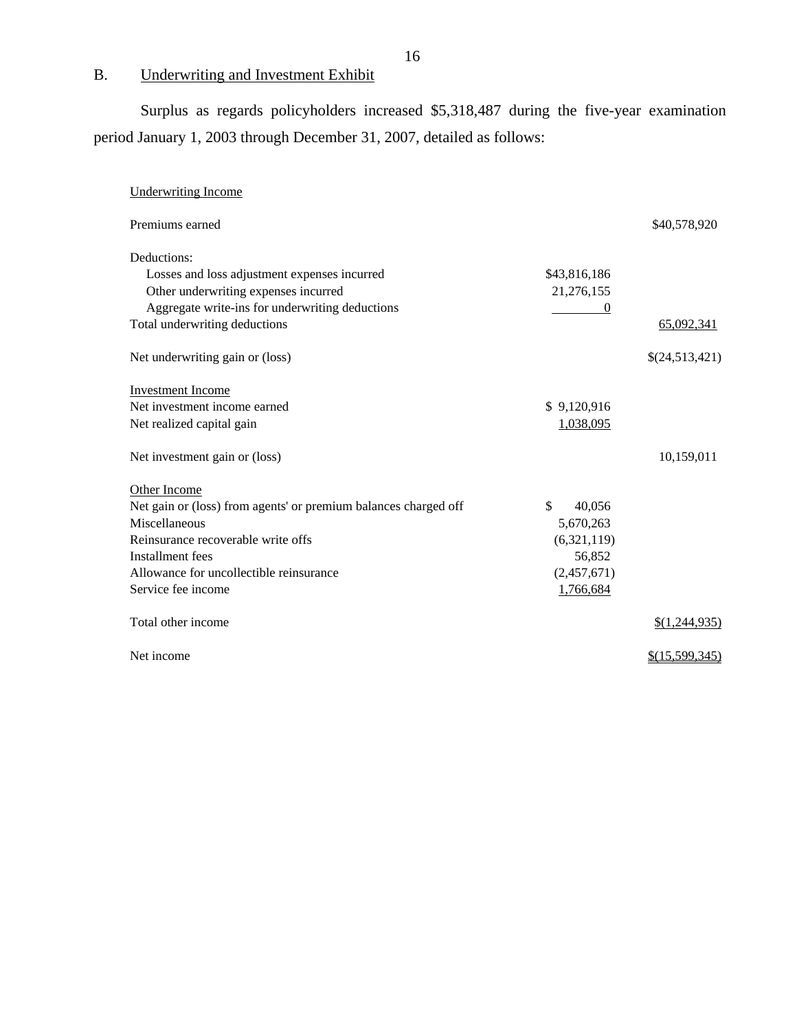# B. Underwriting and Investment Exhibit

Surplus as regards policyholders increased \$5,318,487 during the five-year examination period January 1, 2003 through December 31, 2007, detailed as follows:

| <b>Underwriting Income</b>                                                                          |                            |                  |
|-----------------------------------------------------------------------------------------------------|----------------------------|------------------|
| Premiums earned                                                                                     |                            | \$40,578,920     |
| Deductions:<br>Losses and loss adjustment expenses incurred<br>Other underwriting expenses incurred | \$43,816,186<br>21,276,155 |                  |
| Aggregate write-ins for underwriting deductions<br>Total underwriting deductions                    |                            | 65,092,341       |
| Net underwriting gain or (loss)                                                                     |                            | \$(24,513,421)   |
| <b>Investment Income</b>                                                                            |                            |                  |
| Net investment income earned                                                                        | \$9,120,916                |                  |
| Net realized capital gain                                                                           | 1,038,095                  |                  |
| Net investment gain or (loss)                                                                       |                            | 10,159,011       |
| Other Income                                                                                        |                            |                  |
| Net gain or (loss) from agents' or premium balances charged off                                     | \$<br>40,056               |                  |
| Miscellaneous                                                                                       | 5,670,263                  |                  |
| Reinsurance recoverable write offs                                                                  | (6,321,119)                |                  |
| Installment fees                                                                                    | 56,852                     |                  |
| Allowance for uncollectible reinsurance                                                             | (2,457,671)                |                  |
| Service fee income                                                                                  | 1,766,684                  |                  |
| Total other income                                                                                  |                            | \$(1,244,935)    |
| Net income                                                                                          |                            | $$$ (15,599,345) |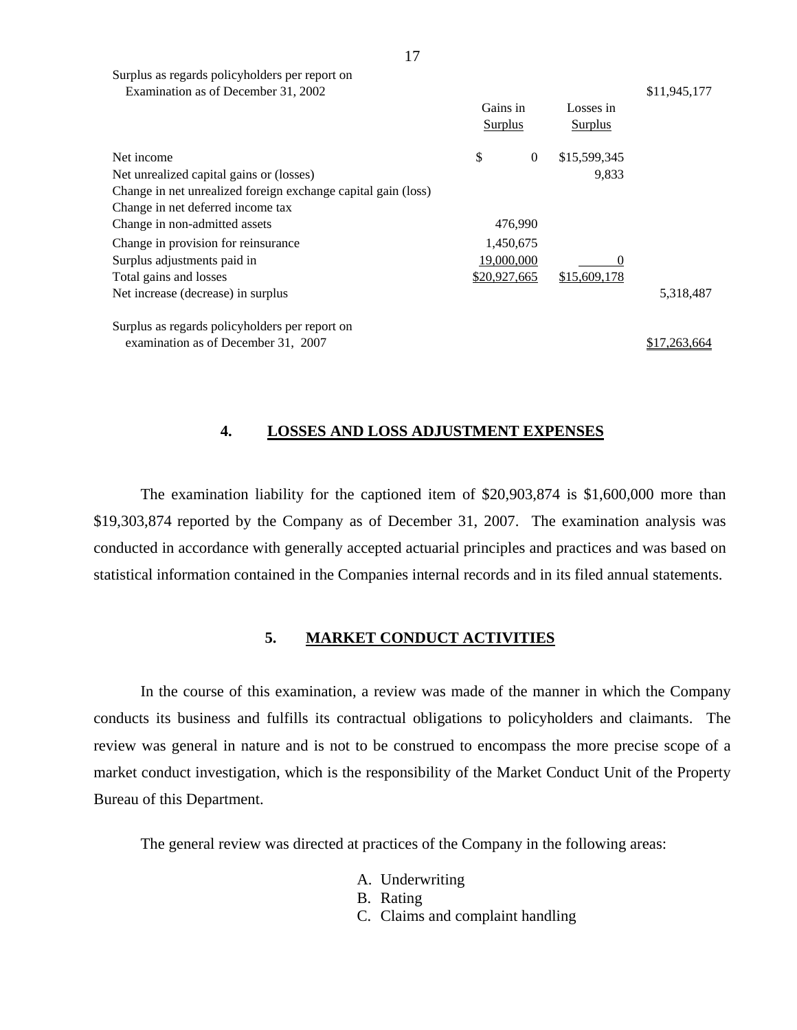| Surplus as regards policyholders per report on                |              |                  |                |              |
|---------------------------------------------------------------|--------------|------------------|----------------|--------------|
| Examination as of December 31, 2002                           |              |                  |                | \$11,945,177 |
|                                                               | Gains in     |                  | Losses in      |              |
|                                                               |              | <b>Surplus</b>   | <b>Surplus</b> |              |
| Net income                                                    | \$           | $\boldsymbol{0}$ | \$15,599,345   |              |
| Net unrealized capital gains or (losses)                      |              |                  | 9,833          |              |
| Change in net unrealized foreign exchange capital gain (loss) |              |                  |                |              |
| Change in net deferred income tax                             |              |                  |                |              |
| Change in non-admitted assets                                 |              | 476,990          |                |              |
| Change in provision for reinsurance                           |              | 1,450,675        |                |              |
| Surplus adjustments paid in                                   | 19,000,000   |                  |                |              |
| Total gains and losses                                        | \$20,927,665 |                  | \$15,609,178   |              |
| Net increase (decrease) in surplus                            |              |                  |                | 5,318,487    |
| Surplus as regards policyholders per report on                |              |                  |                |              |
| examination as of December 31, 2007                           |              |                  |                | \$17.263.664 |

### **4. LOSSES AND LOSS ADJUSTMENT EXPENSES**

The examination liability for the captioned item of \$20,903,874 is \$1,600,000 more than \$19,303,874 reported by the Company as of December 31, 2007. The examination analysis was conducted in accordance with generally accepted actuarial principles and practices and was based on statistical information contained in the Companies internal records and in its filed annual statements.

#### **5. MARKET CONDUCT ACTIVITIES**

In the course of this examination, a review was made of the manner in which the Company conducts its business and fulfills its contractual obligations to policyholders and claimants. The review was general in nature and is not to be construed to encompass the more precise scope of a market conduct investigation, which is the responsibility of the Market Conduct Unit of the Property Bureau of this Department.

The general review was directed at practices of the Company in the following areas:

- A. Underwriting
- B. Rating
- C. Claims and complaint handling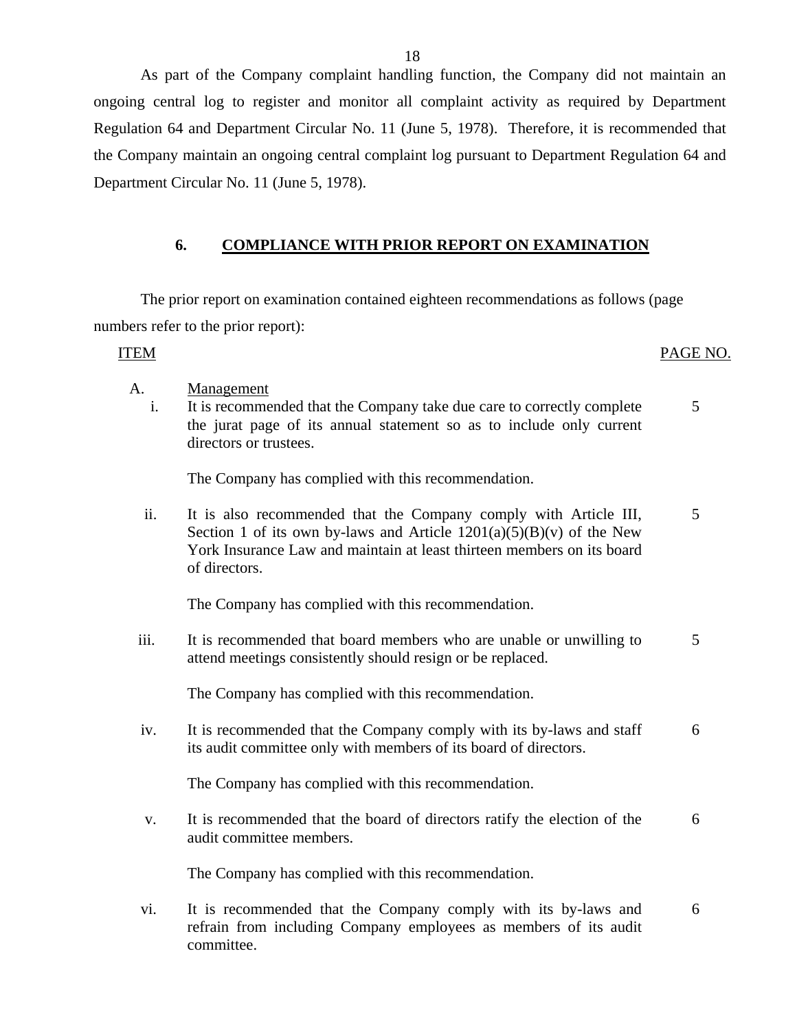As part of the Company complaint handling function, the Company did not maintain an ongoing central log to register and monitor all complaint activity as required by Department Regulation 64 and Department Circular No. 11 (June 5, 1978). Therefore, it is recommended that the Company maintain an ongoing central complaint log pursuant to Department Regulation 64 and Department Circular No. 11 (June 5, 1978).

#### **6. COMPLIANCE WITH PRIOR REPORT ON EXAMINATION**

The prior report on examination contained eighteen recommendations as follows (page numbers refer to the prior report):

#### ITEM PAGE NO.

5

- A. Management
	- i. It is recommended that the Company take due care to correctly complete the jurat page of its annual statement so as to include only current directors or trustees.

The Company has complied with this recommendation.

ii. It is also recommended that the Company comply with Article III, Section 1 of its own by-laws and Article  $1201(a)(5)(B)(v)$  of the New York Insurance Law and maintain at least thirteen members on its board of directors. 5

The Company has complied with this recommendation.

iii. It is recommended that board members who are unable or unwilling to attend meetings consistently should resign or be replaced. 5

The Company has complied with this recommendation.

iv. It is recommended that the Company comply with its by-laws and staff its audit committee only with members of its board of directors. 6

The Company has complied with this recommendation.

v. It is recommended that the board of directors ratify the election of the audit committee members. 6

The Company has complied with this recommendation.

vi. It is recommended that the Company comply with its by-laws and refrain from including Company employees as members of its audit committee. 6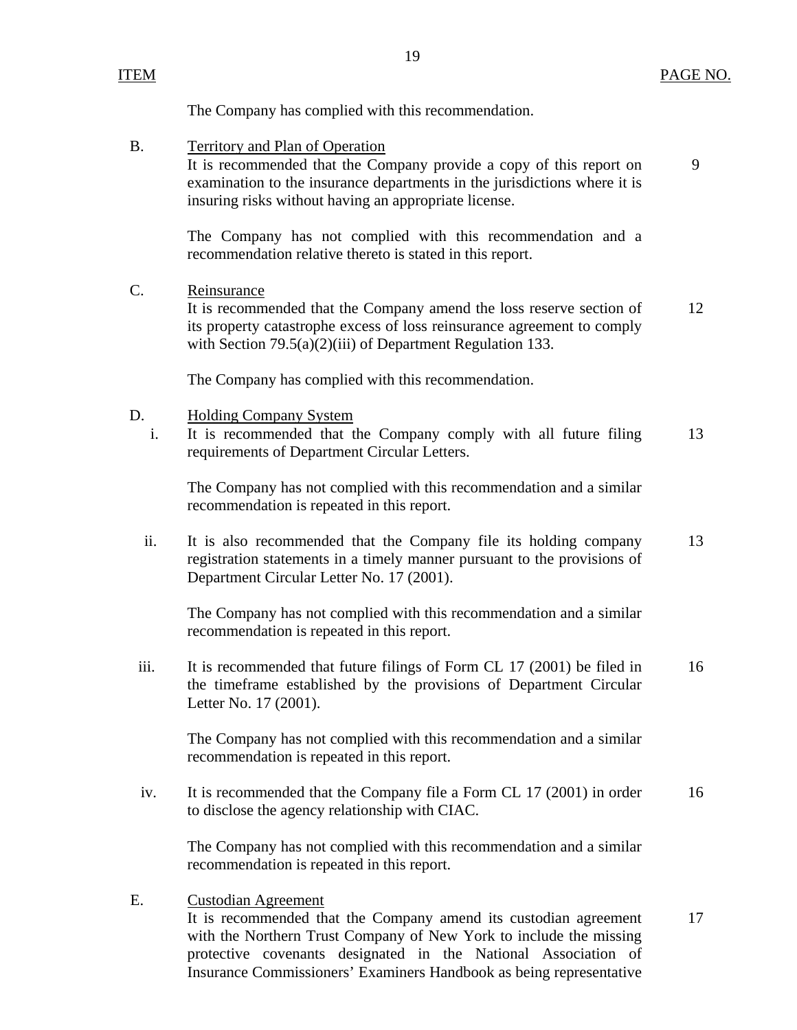9

The Company has complied with this recommendation.

B. Territory and Plan of Operation

It is recommended that the Company provide a copy of this report on examination to the insurance departments in the jurisdictions where it is insuring risks without having an appropriate license.

The Company has not complied with this recommendation and a recommendation relative thereto is stated in this report.

C. Reinsurance

It is recommended that the Company amend the loss reserve section of 12 its property catastrophe excess of loss reinsurance agreement to comply with Section 79.5(a)(2)(iii) of Department Regulation 133.

The Company has complied with this recommendation.

- D. Holding Company System
	- i. It is recommended that the Company comply with all future filing 13 requirements of Department Circular Letters.

The Company has not complied with this recommendation and a similar recommendation is repeated in this report.

ii. It is also recommended that the Company file its holding company 13 registration statements in a timely manner pursuant to the provisions of Department Circular Letter No. 17 (2001).

The Company has not complied with this recommendation and a similar recommendation is repeated in this report.

iii. It is recommended that future filings of Form CL 17 (2001) be filed in 16 the timeframe established by the provisions of Department Circular Letter No. 17 (2001).

The Company has not complied with this recommendation and a similar recommendation is repeated in this report.

iv. It is recommended that the Company file a Form CL 17 (2001) in order 16 to disclose the agency relationship with CIAC.

The Company has not complied with this recommendation and a similar recommendation is repeated in this report.

E. Custodian Agreement

It is recommended that the Company amend its custodian agreement 17 with the Northern Trust Company of New York to include the missing protective covenants designated in the National Association of Insurance Commissioners' Examiners Handbook as being representative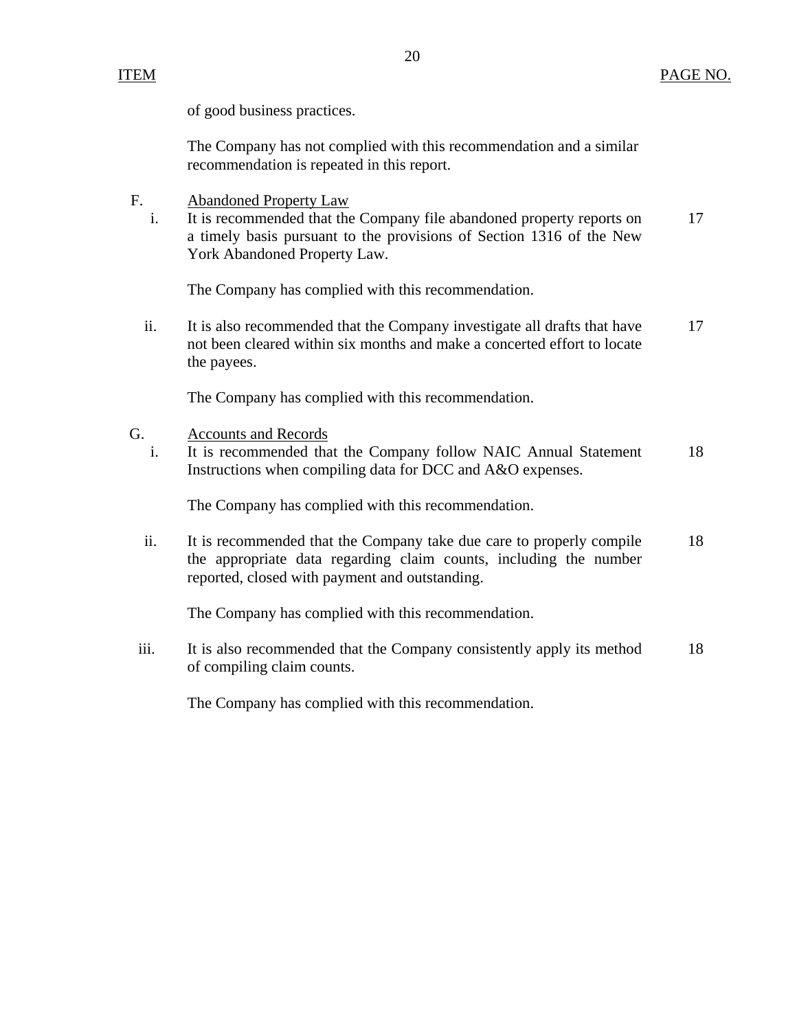of good business practices.

The Company has not complied with this recommendation and a similar recommendation is repeated in this report.

- F. Abandoned Property Law
	- i. It is recommended that the Company file abandoned property reports on 17 a timely basis pursuant to the provisions of Section 1316 of the New York Abandoned Property Law.

The Company has complied with this recommendation.

ii. It is also recommended that the Company investigate all drafts that have 17 not been cleared within six months and make a concerted effort to locate the payees.

The Company has complied with this recommendation.

- G. Accounts and Records
	- i. It is recommended that the Company follow NAIC Annual Statement 18 Instructions when compiling data for DCC and A&O expenses.

The Company has complied with this recommendation.

ii. It is recommended that the Company take due care to properly compile 18 the appropriate data regarding claim counts, including the number reported, closed with payment and outstanding.

The Company has complied with this recommendation.

iii. It is also recommended that the Company consistently apply its method 18 of compiling claim counts.

The Company has complied with this recommendation.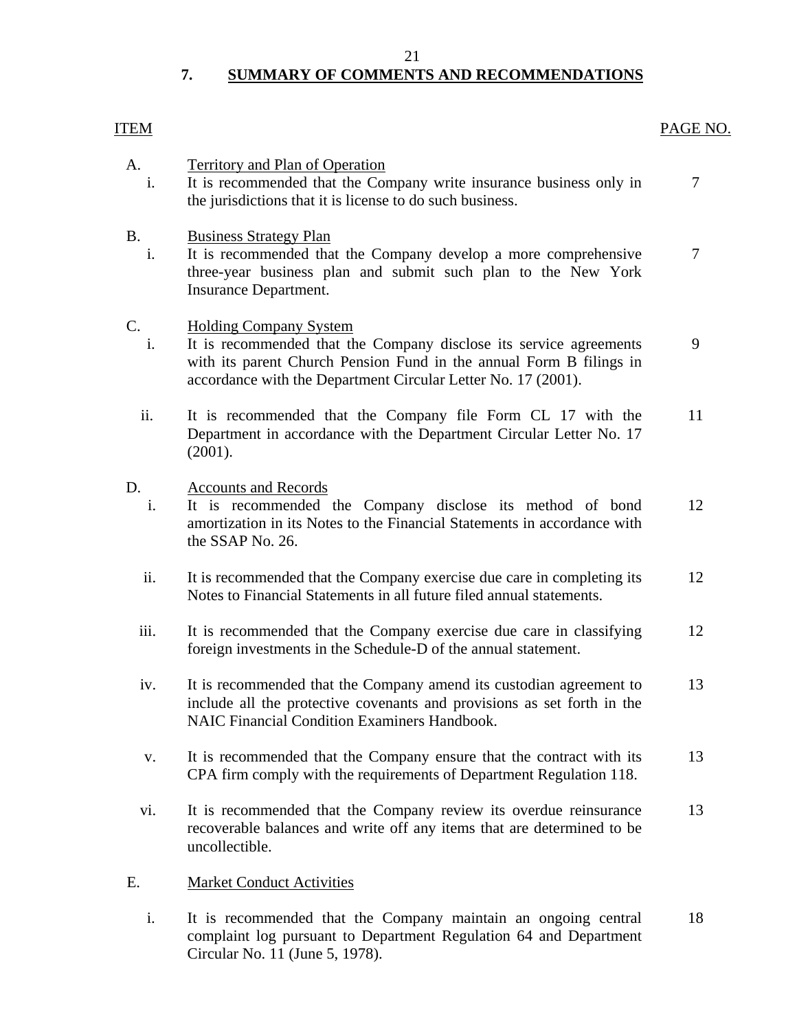#### 21

# **7. SUMMARY OF COMMENTS AND RECOMMENDATIONS**

### <span id="page-22-0"></span>ITEM PAGE NO.

| A.<br>i.        | <b>Territory and Plan of Operation</b><br>It is recommended that the Company write insurance business only in<br>the jurisdictions that it is license to do such business.                                                                  | $\overline{7}$ |
|-----------------|---------------------------------------------------------------------------------------------------------------------------------------------------------------------------------------------------------------------------------------------|----------------|
| <b>B.</b><br>i. | <b>Business Strategy Plan</b><br>It is recommended that the Company develop a more comprehensive<br>three-year business plan and submit such plan to the New York<br>Insurance Department.                                                  | $\tau$         |
| C.<br>i.        | <b>Holding Company System</b><br>It is recommended that the Company disclose its service agreements<br>with its parent Church Pension Fund in the annual Form B filings in<br>accordance with the Department Circular Letter No. 17 (2001). | 9              |
| ii.             | It is recommended that the Company file Form CL 17 with the<br>Department in accordance with the Department Circular Letter No. 17<br>(2001).                                                                                               | 11             |
| D.<br>i.        | <b>Accounts and Records</b><br>It is recommended the Company disclose its method of bond<br>amortization in its Notes to the Financial Statements in accordance with<br>the SSAP No. 26.                                                    | 12             |
| ii.             | It is recommended that the Company exercise due care in completing its<br>Notes to Financial Statements in all future filed annual statements.                                                                                              | 12             |
| iii.            | It is recommended that the Company exercise due care in classifying<br>foreign investments in the Schedule-D of the annual statement.                                                                                                       | 12             |
| iv.             | It is recommended that the Company amend its custodian agreement to<br>include all the protective covenants and provisions as set forth in the<br><b>NAIC Financial Condition Examiners Handbook.</b>                                       | 13             |
| V.              | It is recommended that the Company ensure that the contract with its<br>CPA firm comply with the requirements of Department Regulation 118.                                                                                                 | 13             |
| vi.             | It is recommended that the Company review its overdue reinsurance<br>recoverable balances and write off any items that are determined to be<br>uncollectible.                                                                               | 13             |
| E.              | <b>Market Conduct Activities</b>                                                                                                                                                                                                            |                |
| i.              | It is recommended that the Company maintain an ongoing central<br>complaint log pursuant to Department Regulation 64 and Department<br>Circular No. 11 (June 5, 1978).                                                                      | 18             |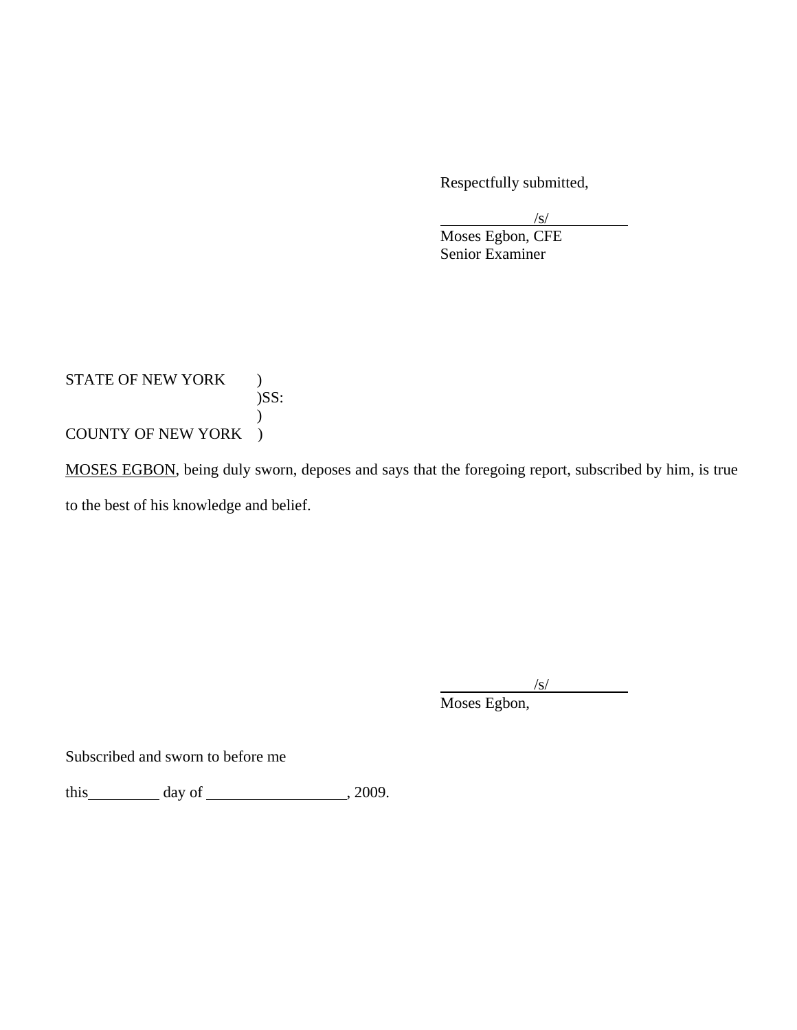Respectfully submitted,

 $\sqrt{s}$ /s/

 Moses Egbon, CFE Senior Examiner

STATE OF NEW YORK ) )SS:  $\mathcal{L}$ COUNTY OF NEW YORK )

MOSES EGBON, being duly sworn, deposes and says that the foregoing report, subscribed by him, is true to the best of his knowledge and belief.

 $\sqrt{s}$ 

Moses Egbon,

Subscribed and sworn to before me

this  $\qquad \qquad \text{day of} \qquad \qquad 2009.$